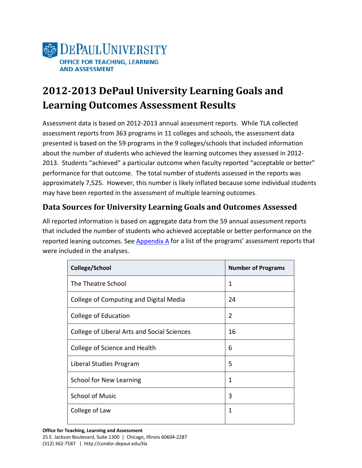

# **2012-2013 DePaul University Learning Goals and Learning Outcomes Assessment Results**

Assessment data is based on 2012-2013 annual assessment reports. While TLA collected assessment reports from 363 programs in 11 colleges and schools, the assessment data presented is based on the 59 programs in the 9 colleges/schools that included information about the number of students who achieved the learning outcomes they assessed in 2012- 2013. Students "achieved" a particular outcome when faculty reported "acceptable or better" performance for that outcome. The total number of students assessed in the reports was approximately 7,525. However, this number is likely inflated because some individual students may have been reported in the assessment of multiple learning outcomes.

#### **Data Sources for University Learning Goals and Outcomes Assessed**

All reported information is based on aggregate data from the 59 annual assessment reports that included the number of students who achieved acceptable or better performance on the reported leaning outcomes. See  $\Delta$ ppendix  $\Delta$  for a list of the programs' assessment reports that were included in the analyses.

| College/School                              | <b>Number of Programs</b> |
|---------------------------------------------|---------------------------|
| The Theatre School                          | 1                         |
| College of Computing and Digital Media      | 24                        |
| College of Education                        | $\overline{2}$            |
| College of Liberal Arts and Social Sciences | 16                        |
| College of Science and Health               | 6                         |
| Liberal Studies Program                     | 5                         |
| School for New Learning                     | 1                         |
| <b>School of Music</b>                      | 3                         |
| College of Law                              | 1                         |
|                                             |                           |

**Office for Teaching, Learning and Assessment**

25 E. Jackson Boulevard, Suite 1300 | Chicago, Illinois 60604-2287 (312) 362-7587 | http://condor.depaul.edu/tla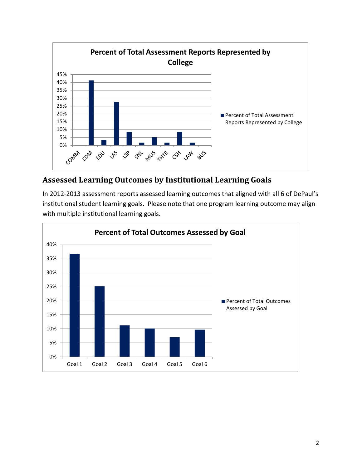

#### **Assessed Learning Outcomes by Institutional Learning Goals**

In 2012-2013 assessment reports assessed learning outcomes that aligned with all 6 of DePaul's institutional student learning goals. Please note that one program learning outcome may align with multiple institutional learning goals.

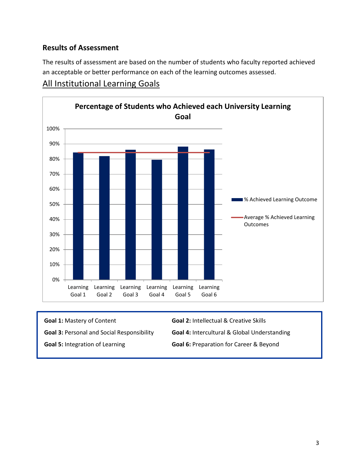#### **Results of Assessment**

The results of assessment are based on the number of students who faculty reported achieved an acceptable or better performance on each of the learning outcomes assessed.

#### All Institutional Learning Goals



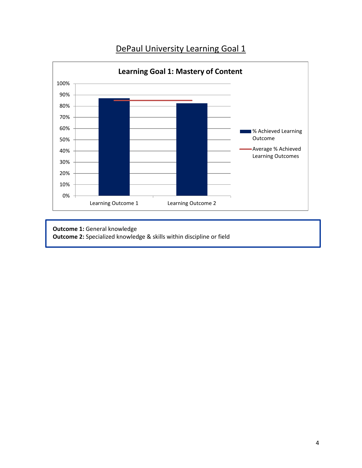



**Outcome 1:** General knowledge **Outcome 2:** Specialized knowledge & skills within discipline or field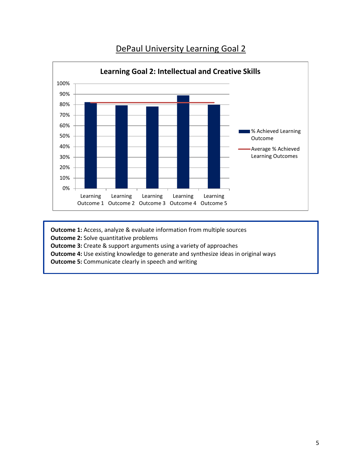

**Outcome 1:** Access, analyze & evaluate information from multiple sources **Outcome 2:** Solve quantitative problems **Outcome 3:** Create & support arguments using a variety of approaches **Outcome 4:** Use existing knowledge to generate and synthesize ideas in original ways **Outcome 5:** Communicate clearly in speech and writing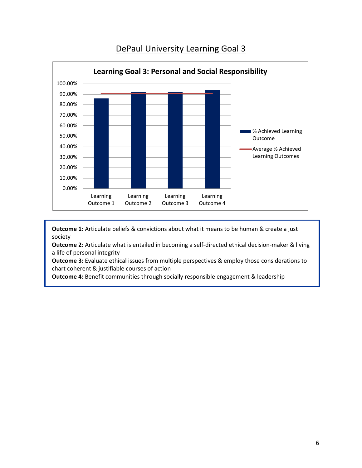

**Outcome 1:** Articulate beliefs & convictions about what it means to be human & create a just society

**Outcome 2:** Articulate what is entailed in becoming a self-directed ethical decision-maker & living a life of personal integrity

**Outcome 3:** Evaluate ethical issues from multiple perspectives & employ those considerations to chart coherent & justifiable courses of action

**Outcome 4:** Benefit communities through socially responsible engagement & leadership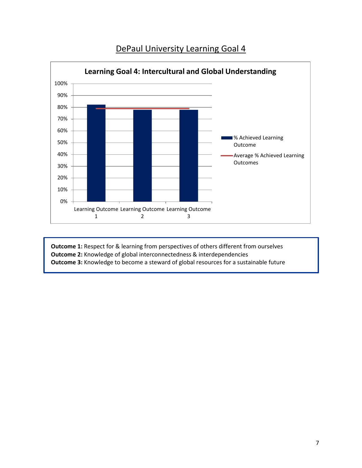

**Outcome 1:** Respect for & learning from perspectives of others different from ourselves **Outcome 2:** Knowledge of global interconnectedness & interdependencies **Outcome 3:** Knowledge to become a steward of global resources for a sustainable future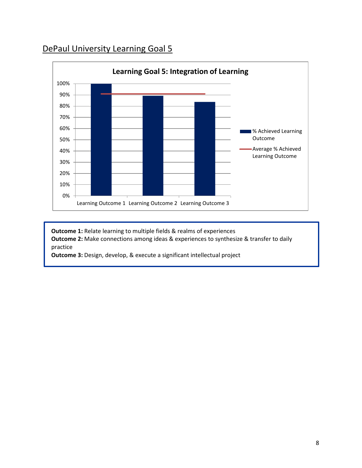

**Outcome 1:** Relate learning to multiple fields & realms of experiences **Outcome 2:** Make connections among ideas & experiences to synthesize & transfer to daily practice

**Outcome 3:** Design, develop, & execute a significant intellectual project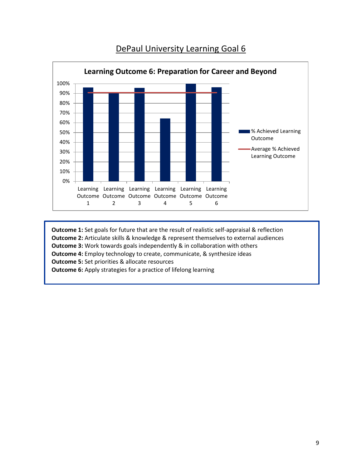

**Outcome 1:** Set goals for future that are the result of realistic self-appraisal & reflection **Outcome 2:** Articulate skills & knowledge & represent themselves to external audiences **Outcome 3:** Work towards goals independently & in collaboration with others **Outcome 4:** Employ technology to create, communicate, & synthesize ideas **Outcome 5:** Set priorities & allocate resources

<span id="page-8-0"></span>**Outcome 6:** Apply strategies for a practice of lifelong learning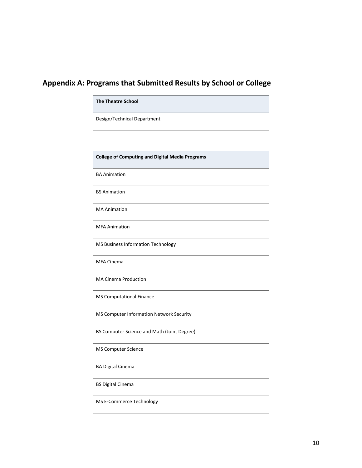# **Appendix A: Programs that Submitted Results by School or College**

Design/Technical Department

| <b>College of Computing and Digital Media Programs</b> |
|--------------------------------------------------------|
| <b>BA Animation</b>                                    |
| <b>BS Animation</b>                                    |
| <b>MA Animation</b>                                    |
| <b>MFA Animation</b>                                   |
| MS Business Information Technology                     |
| <b>MFA Cinema</b>                                      |
| <b>MA Cinema Production</b>                            |
| <b>MS Computational Finance</b>                        |
| MS Computer Information Network Security               |
| BS Computer Science and Math (Joint Degree)            |
| <b>MS Computer Science</b>                             |
| <b>BA Digital Cinema</b>                               |
| <b>BS Digital Cinema</b>                               |
| MS E-Commerce Technology                               |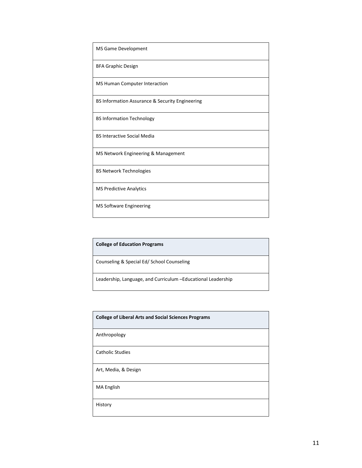| MS Game Development                             |
|-------------------------------------------------|
| <b>BFA Graphic Design</b>                       |
| <b>MS Human Computer Interaction</b>            |
| BS Information Assurance & Security Engineering |
| <b>BS Information Technology</b>                |
| <b>BS Interactive Social Media</b>              |
| MS Network Engineering & Management             |
| <b>BS Network Technologies</b>                  |
| <b>MS Predictive Analytics</b>                  |
| MS Software Engineering                         |

| <b>College of Education Programs</b>                          |
|---------------------------------------------------------------|
| Counseling & Special Ed/ School Counseling                    |
| Leadership, Language, and Curriculum - Educational Leadership |

| <b>College of Liberal Arts and Social Sciences Programs</b> |
|-------------------------------------------------------------|
| Anthropology                                                |
| <b>Catholic Studies</b>                                     |
| Art, Media, & Design                                        |
| MA English                                                  |
| History                                                     |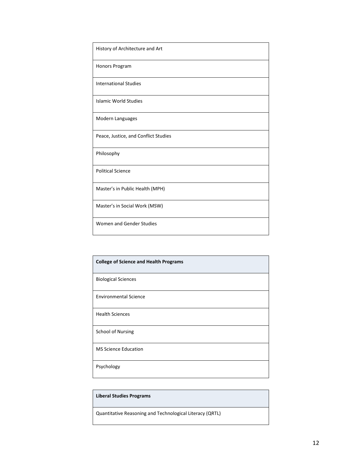| History of Architecture and Art      |
|--------------------------------------|
| Honors Program                       |
| <b>International Studies</b>         |
| <b>Islamic World Studies</b>         |
| Modern Languages                     |
| Peace, Justice, and Conflict Studies |
| Philosophy                           |
| <b>Political Science</b>             |
| Master's in Public Health (MPH)      |
| Master's in Social Work (MSW)        |
| Women and Gender Studies             |

| <b>College of Science and Health Programs</b> |
|-----------------------------------------------|
| <b>Biological Sciences</b>                    |
| <b>Environmental Science</b>                  |
| <b>Health Sciences</b>                        |
| <b>School of Nursing</b>                      |
| <b>MS Science Education</b>                   |
| Psychology                                    |

#### **Liberal Studies Programs**

Quantitative Reasoning and Technological Literacy (QRTL)